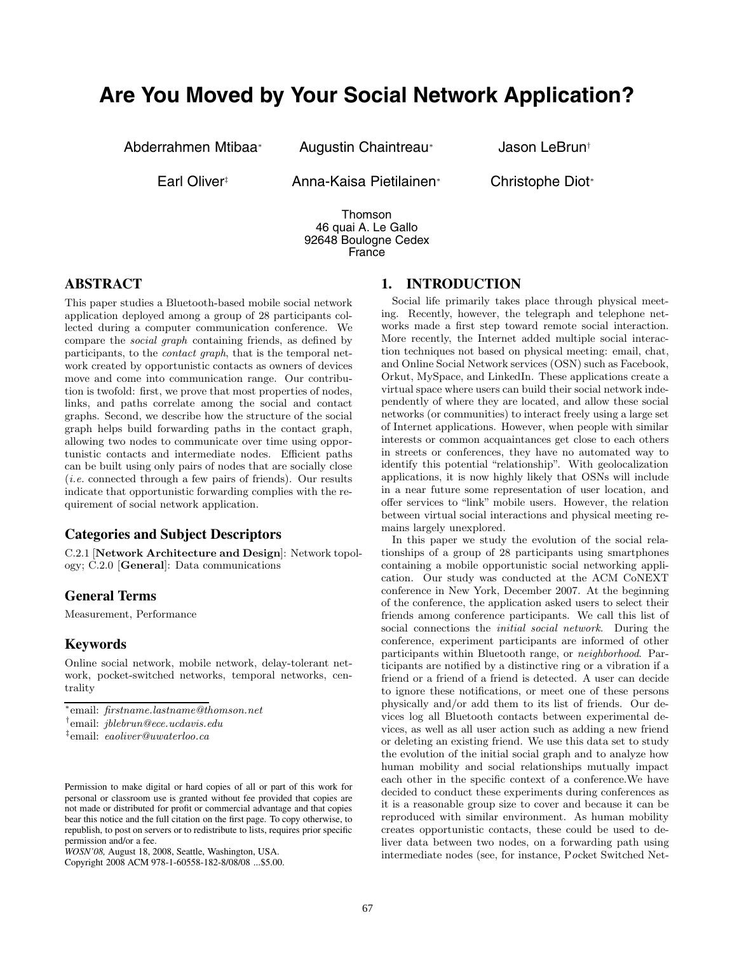# **Are You Moved by Your Social Network Application?**

Abderrahmen Mtibaa<sup>∗</sup> Augustin Chaintreau<sup>∗</sup> Jason LeBrun†

Earl Oliver‡ Anna-Kaisa Pietilainen<sup>∗</sup> Christophe Diot<sup>∗</sup>

Thomson 46 quai A. Le Gallo 92648 Boulogne Cedex France

# **ABSTRACT**

This paper studies a Bluetooth-based mobile social network application deployed among a group of 28 participants collected during a computer communication conference. We compare the *social graph* containing friends, as defined by participants, to the *contact graph*, that is the temporal network created by opportunistic contacts as owners of devices move and come into communication range. Our contribution is twofold: first, we prove that most properties of nodes, links, and paths correlate among the social and contact graphs. Second, we describe how the structure of the social graph helps build forwarding paths in the contact graph, allowing two nodes to communicate over time using opportunistic contacts and intermediate nodes. Efficient paths can be built using only pairs of nodes that are socially close (*i.e.* connected through a few pairs of friends). Our results indicate that opportunistic forwarding complies with the requirement of social network application.

# **Categories and Subject Descriptors**

C.2.1 [**Network Architecture and Design**]: Network topology; C.2.0 [**General**]: Data communications

# **General Terms**

Measurement, Performance

# **Keywords**

Online social network, mobile network, delay-tolerant network, pocket-switched networks, temporal networks, centrality

<sup>∗</sup>email: *firstname.lastname@thomson.net*

Copyright 2008 ACM 978-1-60558-182-8/08/08 ...\$5.00.

# **1. INTRODUCTION**

Social life primarily takes place through physical meeting. Recently, however, the telegraph and telephone networks made a first step toward remote social interaction. More recently, the Internet added multiple social interaction techniques not based on physical meeting: email, chat, and Online Social Network services (OSN) such as Facebook, Orkut, MySpace, and LinkedIn. These applications create a virtual space where users can build their social network independently of where they are located, and allow these social networks (or communities) to interact freely using a large set of Internet applications. However, when people with similar interests or common acquaintances get close to each others in streets or conferences, they have no automated way to identify this potential "relationship". With geolocalization applications, it is now highly likely that OSNs will include in a near future some representation of user location, and offer services to "link" mobile users. However, the relation between virtual social interactions and physical meeting remains largely unexplored.

In this paper we study the evolution of the social relationships of a group of 28 participants using smartphones containing a mobile opportunistic social networking application. Our study was conducted at the ACM CoNEXT conference in New York, December 2007. At the beginning of the conference, the application asked users to select their friends among conference participants. We call this list of social connections the *initial social network*. During the conference, experiment participants are informed of other participants within Bluetooth range, or *neighborhood*. Participants are notified by a distinctive ring or a vibration if a friend or a friend of a friend is detected. A user can decide to ignore these notifications, or meet one of these persons physically and/or add them to its list of friends. Our devices log all Bluetooth contacts between experimental devices, as well as all user action such as adding a new friend or deleting an existing friend. We use this data set to study the evolution of the initial social graph and to analyze how human mobility and social relationships mutually impact each other in the specific context of a conference.We have decided to conduct these experiments during conferences as it is a reasonable group size to cover and because it can be reproduced with similar environment. As human mobility creates opportunistic contacts, these could be used to deliver data between two nodes, on a forwarding path using intermediate nodes (see, for instance, P*o*cket Switched Net-

<sup>†</sup>email: *jblebrun@ece.ucdavis.edu*

<sup>‡</sup>email: *eaoliver@uwaterloo.ca*

Permission to make digital or hard copies of all or part of this work for personal or classroom use is granted without fee provided that copies are not made or distributed for profit or commercial advantage and that copies bear this notice and the full citation on the first page. To copy otherwise, to republish, to post on servers or to redistribute to lists, requires prior specific permission and/or a fee.

*WOSN'08,* August 18, 2008, Seattle, Washington, USA.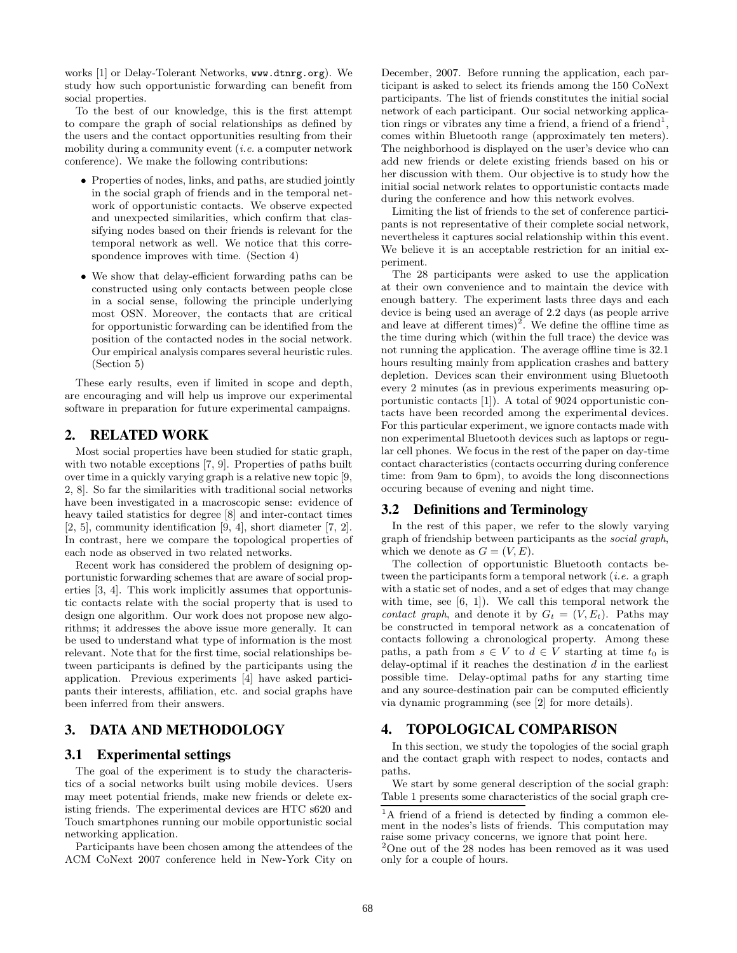works [1] or Delay-Tolerant Networks, www.dtnrg.org). We study how such opportunistic forwarding can benefit from social properties.

To the best of our knowledge, this is the first attempt to compare the graph of social relationships as defined by the users and the contact opportunities resulting from their mobility during a community event (*i.e.* a computer network conference). We make the following contributions:

- Properties of nodes, links, and paths, are studied jointly in the social graph of friends and in the temporal network of opportunistic contacts. We observe expected and unexpected similarities, which confirm that classifying nodes based on their friends is relevant for the temporal network as well. We notice that this correspondence improves with time. (Section 4)
- We show that delay-efficient forwarding paths can be constructed using only contacts between people close in a social sense, following the principle underlying most OSN. Moreover, the contacts that are critical for opportunistic forwarding can be identified from the position of the contacted nodes in the social network. Our empirical analysis compares several heuristic rules. (Section 5)

These early results, even if limited in scope and depth, are encouraging and will help us improve our experimental software in preparation for future experimental campaigns.

# **2. RELATED WORK**

Most social properties have been studied for static graph, with two notable exceptions [7, 9]. Properties of paths built over time in a quickly varying graph is a relative new topic [9, 2, 8]. So far the similarities with traditional social networks have been investigated in a macroscopic sense: evidence of heavy tailed statistics for degree [8] and inter-contact times [2, 5], community identification [9, 4], short diameter [7, 2]. In contrast, here we compare the topological properties of each node as observed in two related networks.

Recent work has considered the problem of designing opportunistic forwarding schemes that are aware of social properties [3, 4]. This work implicitly assumes that opportunistic contacts relate with the social property that is used to design one algorithm. Our work does not propose new algorithms; it addresses the above issue more generally. It can be used to understand what type of information is the most relevant. Note that for the first time, social relationships between participants is defined by the participants using the application. Previous experiments [4] have asked participants their interests, affiliation, etc. and social graphs have been inferred from their answers.

## **3. DATA AND METHODOLOGY**

#### **3.1 Experimental settings**

The goal of the experiment is to study the characteristics of a social networks built using mobile devices. Users may meet potential friends, make new friends or delete existing friends. The experimental devices are HTC s620 and Touch smartphones running our mobile opportunistic social networking application.

Participants have been chosen among the attendees of the ACM CoNext 2007 conference held in New-York City on

December, 2007. Before running the application, each participant is asked to select its friends among the 150 CoNext participants. The list of friends constitutes the initial social network of each participant. Our social networking application rings or vibrates any time a friend, a friend of a friend<sup>1</sup>, comes within Bluetooth range (approximately ten meters). The neighborhood is displayed on the user's device who can add new friends or delete existing friends based on his or her discussion with them. Our objective is to study how the initial social network relates to opportunistic contacts made during the conference and how this network evolves.

Limiting the list of friends to the set of conference participants is not representative of their complete social network, nevertheless it captures social relationship within this event. We believe it is an acceptable restriction for an initial experiment.

The 28 participants were asked to use the application at their own convenience and to maintain the device with enough battery. The experiment lasts three days and each device is being used an average of 2.2 days (as people arrive and leave at different times)<sup>2</sup>. We define the offline time as the time during which (within the full trace) the device was not running the application. The average offline time is 32.1 hours resulting mainly from application crashes and battery depletion. Devices scan their environment using Bluetooth every 2 minutes (as in previous experiments measuring opportunistic contacts [1]). A total of 9024 opportunistic contacts have been recorded among the experimental devices. For this particular experiment, we ignore contacts made with non experimental Bluetooth devices such as laptops or regular cell phones. We focus in the rest of the paper on day-time contact characteristics (contacts occurring during conference time: from 9am to 6pm), to avoids the long disconnections occuring because of evening and night time.

## **3.2 Definitions and Terminology**

In the rest of this paper, we refer to the slowly varying graph of friendship between participants as the *social graph*, which we denote as  $G = (V, E)$ .

The collection of opportunistic Bluetooth contacts between the participants form a temporal network (*i.e.* a graph with a static set of nodes, and a set of edges that may change with time, see [6, 1]). We call this temporal network the *contact graph*, and denote it by  $G_t = (V, E_t)$ . Paths may be constructed in temporal network as a concatenation of contacts following a chronological property. Among these paths, a path from  $s \in V$  to  $d \in V$  starting at time  $t_0$  is delay-optimal if it reaches the destination  $d$  in the earliest possible time. Delay-optimal paths for any starting time and any source-destination pair can be computed efficiently via dynamic programming (see [2] for more details).

## **4. TOPOLOGICAL COMPARISON**

In this section, we study the topologies of the social graph and the contact graph with respect to nodes, contacts and paths.

We start by some general description of the social graph: Table 1 presents some characteristics of the social graph cre-

<sup>&</sup>lt;sup>1</sup>A friend of a friend is detected by finding a common element in the nodes's lists of friends. This computation may raise some privacy concerns, we ignore that point here.

 $2$ One out of the 28 nodes has been removed as it was used only for a couple of hours.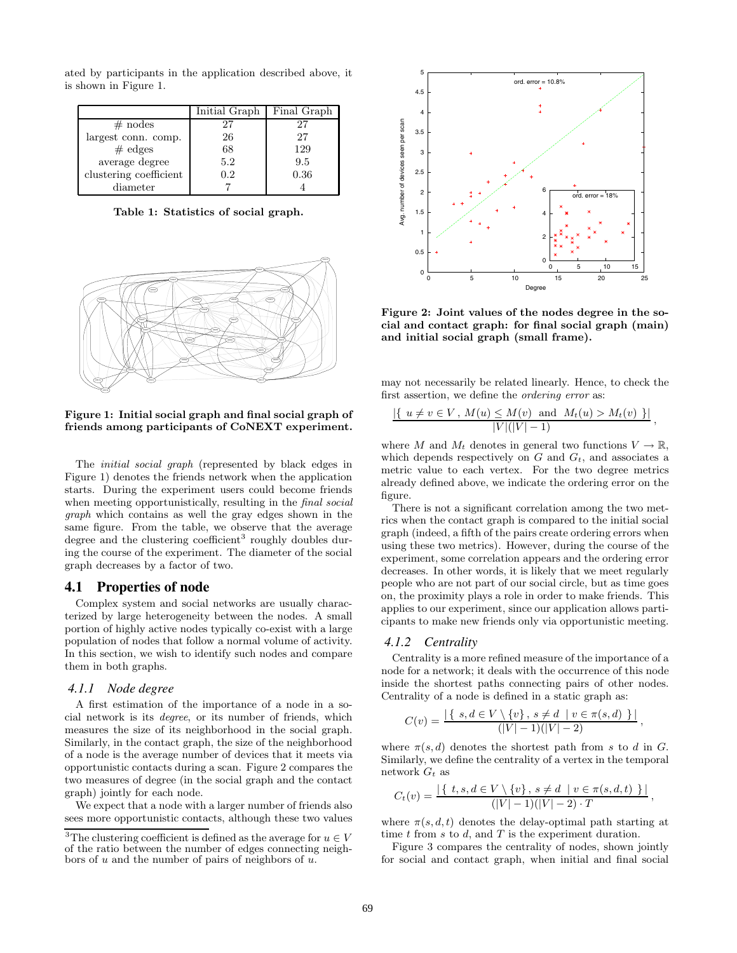ated by participants in the application described above, it is shown in Figure 1.

|                        | Initial Graph    | Final Graph |
|------------------------|------------------|-------------|
| $#$ nodes              | 27               | 27          |
| largest conn. comp.    | 26               | 27          |
| $\#$ edges             | 68               | 129         |
| average degree         | 5.2              | 9.5         |
| clustering coefficient | 0.2 <sub>1</sub> | 0.36        |
| diameter               |                  |             |

**Table 1: Statistics of social graph.**



**Figure 1: Initial social graph and final social graph of friends among participants of CoNEXT experiment.**

The *initial social graph* (represented by black edges in Figure 1) denotes the friends network when the application starts. During the experiment users could become friends when meeting opportunistically, resulting in the *final social graph* which contains as well the gray edges shown in the same figure. From the table, we observe that the average degree and the clustering coefficient<sup>3</sup> roughly doubles during the course of the experiment. The diameter of the social graph decreases by a factor of two.

#### **4.1 Properties of node**

Complex system and social networks are usually characterized by large heterogeneity between the nodes. A small portion of highly active nodes typically co-exist with a large population of nodes that follow a normal volume of activity. In this section, we wish to identify such nodes and compare them in both graphs.

#### *4.1.1 Node degree*

A first estimation of the importance of a node in a social network is its *degree*, or its number of friends, which measures the size of its neighborhood in the social graph. Similarly, in the contact graph, the size of the neighborhood of a node is the average number of devices that it meets via opportunistic contacts during a scan. Figure 2 compares the two measures of degree (in the social graph and the contact graph) jointly for each node.

We expect that a node with a larger number of friends also sees more opportunistic contacts, although these two values



**Figure 2: Joint values of the nodes degree in the social and contact graph: for final social graph (main) and initial social graph (small frame).**

may not necessarily be related linearly. Hence, to check the first assertion, we define the *ordering error* as:

$$
\frac{|\{u \neq v \in V, M(u) \leq M(v) \text{ and } M_t(u) > M_t(v) \}|}{|V|(|V|-1)},
$$

where M and  $M_t$  denotes in general two functions  $V \to \mathbb{R}$ , which depends respectively on  $G$  and  $G_t$ , and associates a metric value to each vertex. For the two degree metrics already defined above, we indicate the ordering error on the figure.

There is not a significant correlation among the two metrics when the contact graph is compared to the initial social graph (indeed, a fifth of the pairs create ordering errors when using these two metrics). However, during the course of the experiment, some correlation appears and the ordering error decreases. In other words, it is likely that we meet regularly people who are not part of our social circle, but as time goes on, the proximity plays a role in order to make friends. This applies to our experiment, since our application allows participants to make new friends only via opportunistic meeting.

### *4.1.2 Centrality*

Centrality is a more refined measure of the importance of a node for a network; it deals with the occurrence of this node inside the shortest paths connecting pairs of other nodes. Centrality of a node is defined in a static graph as:

$$
C(v) = \frac{|\{s, d \in V \setminus \{v\}, s \neq d \mid v \in \pi(s, d)\}|}{(|V| - 1)(|V| - 2)},
$$

where  $\pi(s, d)$  denotes the shortest path from s to d in G. Similarly, we define the centrality of a vertex in the temporal network G*<sup>t</sup>* as

$$
C_t(v) = \frac{|\{t, s, d \in V \setminus \{v\}, s \neq d \mid v \in \pi(s, d, t)\}|}{(|V| - 1)(|V| - 2) \cdot T},
$$

where  $\pi(s, d, t)$  denotes the delay-optimal path starting at time  $t$  from  $s$  to  $d$ , and  $T$  is the experiment duration.

Figure 3 compares the centrality of nodes, shown jointly for social and contact graph, when initial and final social

 $^3\mathrm{The}$  clustering coefficient is defined as the average for  $u\in V$ of the ratio between the number of edges connecting neighbors of  $u$  and the number of pairs of neighbors of  $u$ .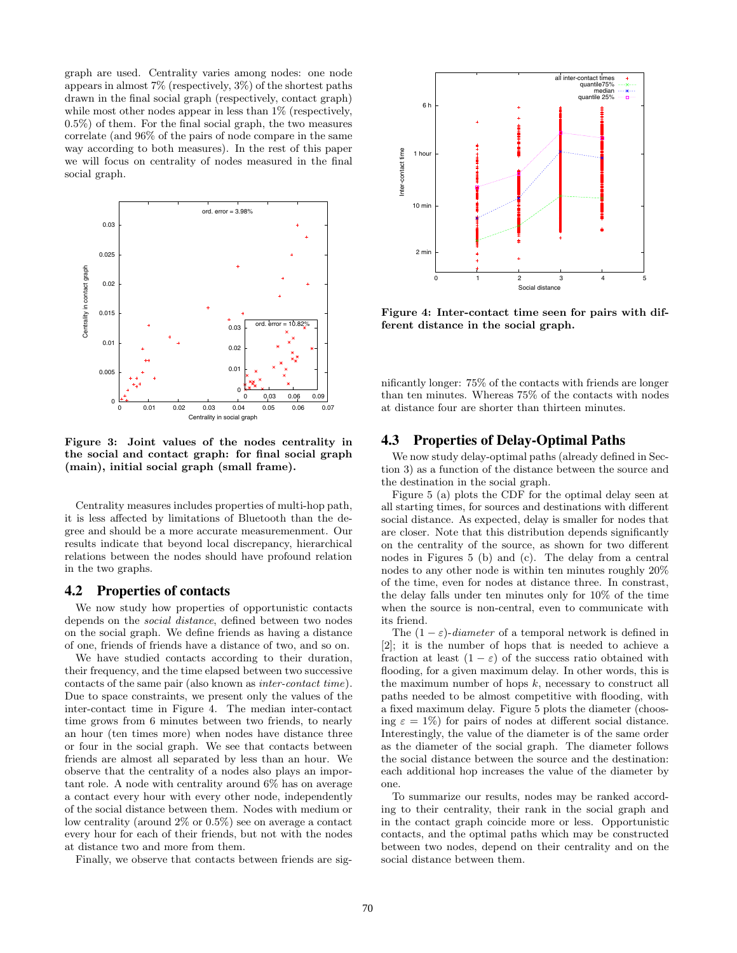graph are used. Centrality varies among nodes: one node appears in almost 7% (respectively, 3%) of the shortest paths drawn in the final social graph (respectively, contact graph) while most other nodes appear in less than  $1\%$  (respectively, 0.5%) of them. For the final social graph, the two measures correlate (and 96% of the pairs of node compare in the same way according to both measures). In the rest of this paper we will focus on centrality of nodes measured in the final social graph.



**Figure 3: Joint values of the nodes centrality in the social and contact graph: for final social graph (main), initial social graph (small frame).**

Centrality measures includes properties of multi-hop path, it is less affected by limitations of Bluetooth than the degree and should be a more accurate measuremenment. Our results indicate that beyond local discrepancy, hierarchical relations between the nodes should have profound relation in the two graphs.

## **4.2 Properties of contacts**

We now study how properties of opportunistic contacts depends on the *social distance*, defined between two nodes on the social graph. We define friends as having a distance of one, friends of friends have a distance of two, and so on.

We have studied contacts according to their duration, their frequency, and the time elapsed between two successive contacts of the same pair (also known as *inter-contact time*). Due to space constraints, we present only the values of the inter-contact time in Figure 4. The median inter-contact time grows from 6 minutes between two friends, to nearly an hour (ten times more) when nodes have distance three or four in the social graph. We see that contacts between friends are almost all separated by less than an hour. We observe that the centrality of a nodes also plays an important role. A node with centrality around 6% has on average a contact every hour with every other node, independently of the social distance between them. Nodes with medium or low centrality (around 2% or 0.5%) see on average a contact every hour for each of their friends, but not with the nodes at distance two and more from them.

Finally, we observe that contacts between friends are sig-



**Figure 4: Inter-contact time seen for pairs with different distance in the social graph.**

nificantly longer: 75% of the contacts with friends are longer than ten minutes. Whereas 75% of the contacts with nodes at distance four are shorter than thirteen minutes.

### **4.3 Properties of Delay-Optimal Paths**

We now study delay-optimal paths (already defined in Section 3) as a function of the distance between the source and the destination in the social graph.

Figure 5 (a) plots the CDF for the optimal delay seen at all starting times, for sources and destinations with different social distance. As expected, delay is smaller for nodes that are closer. Note that this distribution depends significantly on the centrality of the source, as shown for two different nodes in Figures 5 (b) and (c). The delay from a central nodes to any other node is within ten minutes roughly 20% of the time, even for nodes at distance three. In constrast, the delay falls under ten minutes only for 10% of the time when the source is non-central, even to communicate with its friend.

The  $(1 - \varepsilon)$ -*diameter* of a temporal network is defined in [2]; it is the number of hops that is needed to achieve a fraction at least  $(1 - \varepsilon)$  of the success ratio obtained with flooding, for a given maximum delay. In other words, this is the maximum number of hops  $k$ , necessary to construct all paths needed to be almost competitive with flooding, with a fixed maximum delay. Figure 5 plots the diameter (choosing  $\varepsilon = 1\%$  for pairs of nodes at different social distance. Interestingly, the value of the diameter is of the same order as the diameter of the social graph. The diameter follows the social distance between the source and the destination: each additional hop increases the value of the diameter by one.

To summarize our results, nodes may be ranked according to their centrality, their rank in the social graph and in the contact graph coincide more or less. Opportunistic contacts, and the optimal paths which may be constructed between two nodes, depend on their centrality and on the social distance between them.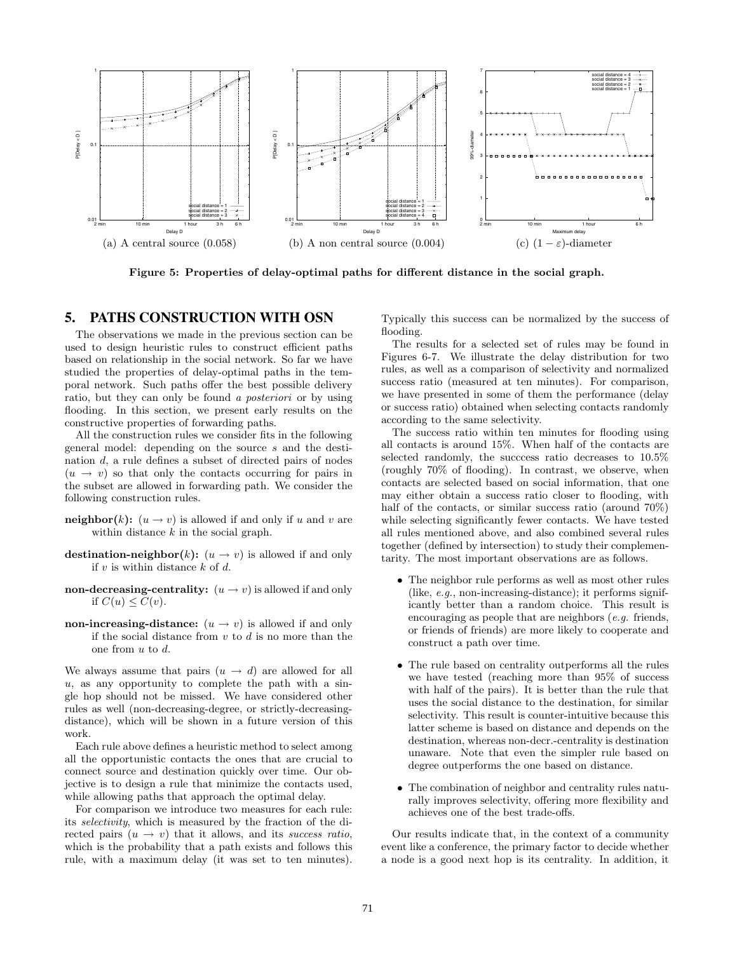

**Figure 5: Properties of delay-optimal paths for different distance in the social graph.**

## **5. PATHS CONSTRUCTION WITH OSN**

The observations we made in the previous section can be used to design heuristic rules to construct efficient paths based on relationship in the social network. So far we have studied the properties of delay-optimal paths in the temporal network. Such paths offer the best possible delivery ratio, but they can only be found *a posteriori* or by using flooding. In this section, we present early results on the constructive properties of forwarding paths.

All the construction rules we consider fits in the following general model: depending on the source s and the destination d, a rule defines a subset of directed pairs of nodes  $(u \rightarrow v)$  so that only the contacts occurring for pairs in the subset are allowed in forwarding path. We consider the following construction rules.

- **neighbor(k):**  $(u \rightarrow v)$  is allowed if and only if u and v are within distance k in the social graph.
- **destination-neighbor(k):**  $(u \rightarrow v)$  is allowed if and only if  $v$  is within distance  $k$  of  $d$ .
- **non-decreasing-centrality:**  $(u \rightarrow v)$  is allowed if and only if  $C(u) \leq C(v)$ .
- **non-increasing-distance:**  $(u \rightarrow v)$  is allowed if and only if the social distance from  $v$  to  $d$  is no more than the one from u to d.

We always assume that pairs  $(u \rightarrow d)$  are allowed for all  $u$ , as any opportunity to complete the path with a single hop should not be missed. We have considered other rules as well (non-decreasing-degree, or strictly-decreasingdistance), which will be shown in a future version of this work.

Each rule above defines a heuristic method to select among all the opportunistic contacts the ones that are crucial to connect source and destination quickly over time. Our objective is to design a rule that minimize the contacts used, while allowing paths that approach the optimal delay.

For comparison we introduce two measures for each rule: its *selectivity*, which is measured by the fraction of the directed pairs  $(u \rightarrow v)$  that it allows, and its *success ratio*, which is the probability that a path exists and follows this rule, with a maximum delay (it was set to ten minutes).

Typically this success can be normalized by the success of flooding.

The results for a selected set of rules may be found in Figures 6-7. We illustrate the delay distribution for two rules, as well as a comparison of selectivity and normalized success ratio (measured at ten minutes). For comparison, we have presented in some of them the performance (delay or success ratio) obtained when selecting contacts randomly according to the same selectivity.

The success ratio within ten minutes for flooding using all contacts is around 15%. When half of the contacts are selected randomly, the succcess ratio decreases to 10.5% (roughly 70% of flooding). In contrast, we observe, when contacts are selected based on social information, that one may either obtain a success ratio closer to flooding, with half of the contacts, or similar success ratio (around  $70\%$ ) while selecting significantly fewer contacts. We have tested all rules mentioned above, and also combined several rules together (defined by intersection) to study their complementarity. The most important observations are as follows.

- The neighbor rule performs as well as most other rules (like, *e.g.*, non-increasing-distance); it performs significantly better than a random choice. This result is encouraging as people that are neighbors (*e.g.* friends, or friends of friends) are more likely to cooperate and construct a path over time.
- The rule based on centrality outperforms all the rules we have tested (reaching more than 95% of success with half of the pairs). It is better than the rule that uses the social distance to the destination, for similar selectivity. This result is counter-intuitive because this latter scheme is based on distance and depends on the destination, whereas non-decr.-centrality is destination unaware. Note that even the simpler rule based on degree outperforms the one based on distance.
- The combination of neighbor and centrality rules naturally improves selectivity, offering more flexibility and achieves one of the best trade-offs.

Our results indicate that, in the context of a community event like a conference, the primary factor to decide whether a node is a good next hop is its centrality. In addition, it